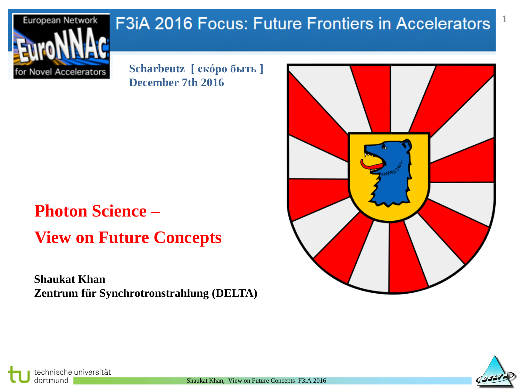## F3iA 2016 Focus: Future Frontiers in Accelerators



**Scharbeutz [ ско́ро быть ] December 7th 2016** 

# **Photon Science – View on Future Concepts**

**Shaukat Khan Zentrum für Synchrotronstrahlung (DELTA)** 





**1**

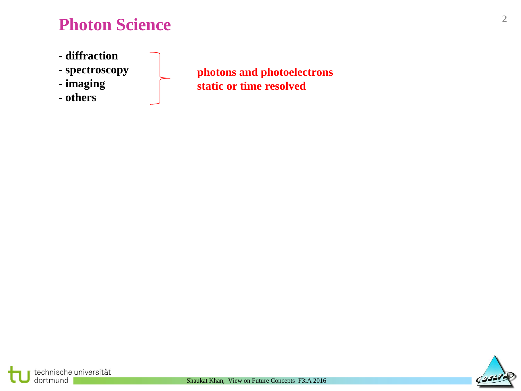### **Photon Science**

- **- diffraction**
- **- spectroscopy**
- **- imaging**
- **- others**

**photons and photoelectrons static or time resolved**



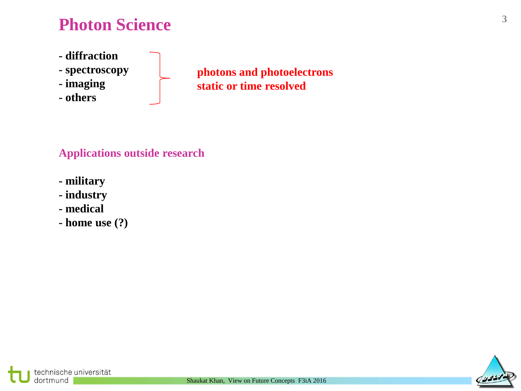### **Photon Science**

- **- diffraction**
- **- spectroscopy**
- **- imaging**
- **- others**

**photons and photoelectrons static or time resolved**

#### **Applications outside research**

- **- military**
- **- industry**
- **- medical**

technische universität

dortmund

**- home use (?)**



**3**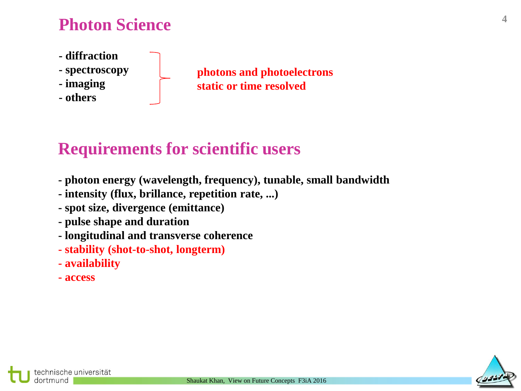### **Photon Science**

- **- diffraction**
- **- spectroscopy**
- **- imaging**
- **- others**

**photons and photoelectrons static or time resolved**

### **Requirements for scientific users**

- **- photon energy (wavelength, frequency), tunable, small bandwidth**
- **- intensity (flux, brillance, repetition rate, ...)**
- **- spot size, divergence (emittance)**
- **- pulse shape and duration**
- **- longitudinal and transverse coherence**
- **- stability (shot-to-shot, longterm)**
- **- availability**
- **- access**



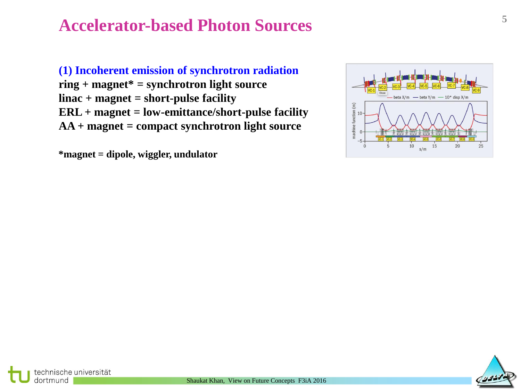### **<sup>5</sup> Accelerator-based Photon Sources**

**(1) Incoherent emission of synchrotron radiation ring + magnet\* = synchrotron light source linac + magnet = short-pulse facility ERL + magnet = low-emittance/short-pulse facility AA + magnet = compact synchrotron light source**

**\*magnet = dipole, wiggler, undulator**





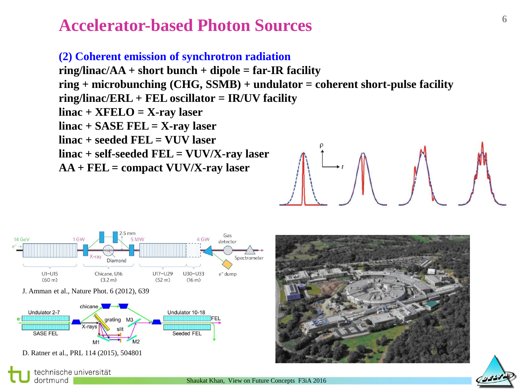### **<sup>6</sup> Accelerator-based Photon Sources**

**(2) Coherent emission of synchrotron radiation ring/linac/AA + short bunch + dipole = far-IR facility ring + microbunching (CHG, SSMB) + undulator = coherent short-pulse facility ring/linac/ERL + FEL oscillator = IR/UV facility linac + XFELO = X-ray laser linac + SASE FEL = X-ray laser linac + seeded FEL = VUV laser linac + self-seeded FEL = VUV/X-ray laser AA + FEL = compact VUV/X-ray laser**



dortmund



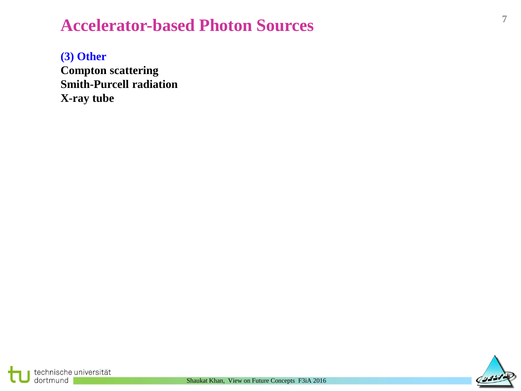## **<sup>7</sup> Accelerator-based Photon Sources**

**(3) Other Compton scattering Smith-Purcell radiation X-ray tube**

technische universität

dortmund

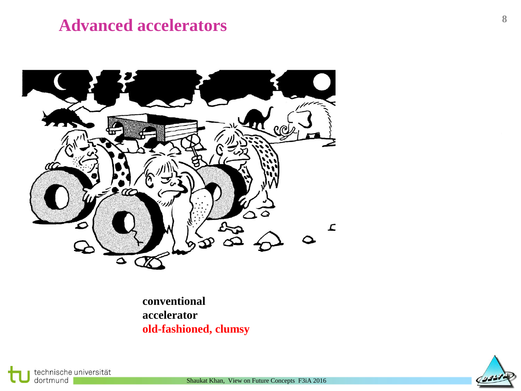#### **Advanced accelerators**



**conventional accelerator accelerator old-fashioned, clumsy promising**





Shaukat Khan, View on Future Concepts F3iA 2016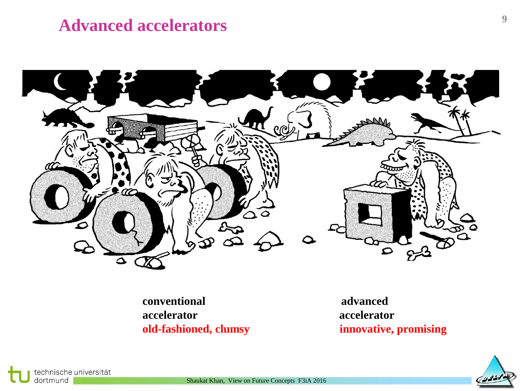#### **Advanced accelerators**



**conventional advanced accelerator accelerator old-fashioned, clumsy innovative, promising**



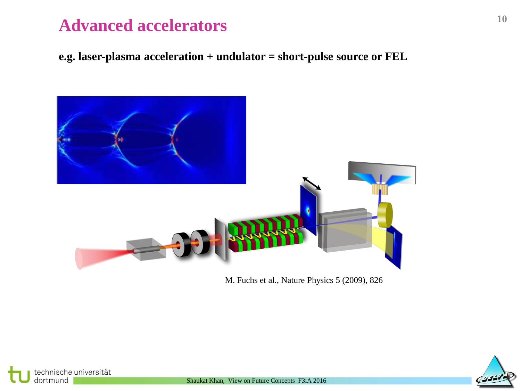#### **Advanced accelerators**

**e.g. laser-plasma acceleration + undulator = short-pulse source or FEL**



M. Fuchs et al., Nature Physics 5 (2009), 826



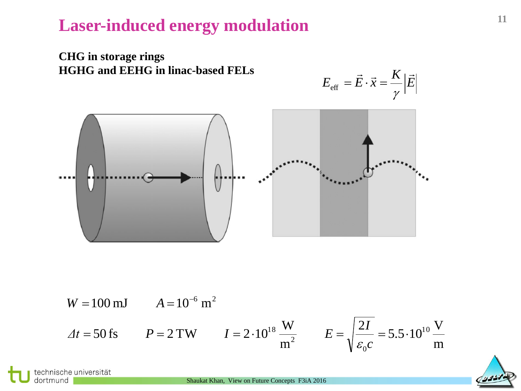

W = 100 mJ 
$$
A = 10^{-6}
$$
 m<sup>2</sup>  
\n $\Delta t = 50$  fs  $P = 2$  TW  $I = 2 \cdot 10^{18} \frac{W}{m^2}$   $E = \sqrt{\frac{2I}{\varepsilon_0 c}} = 5.5 \cdot 10^{10} \frac{V}{m}$ 

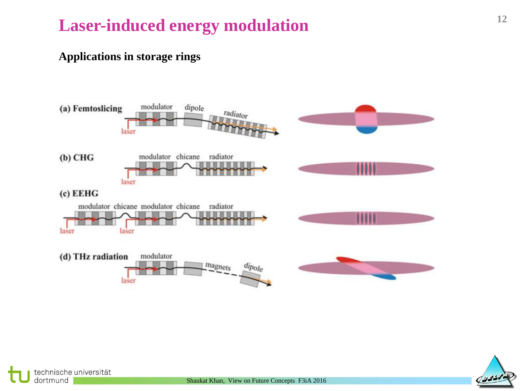#### **Applications in storage rings**





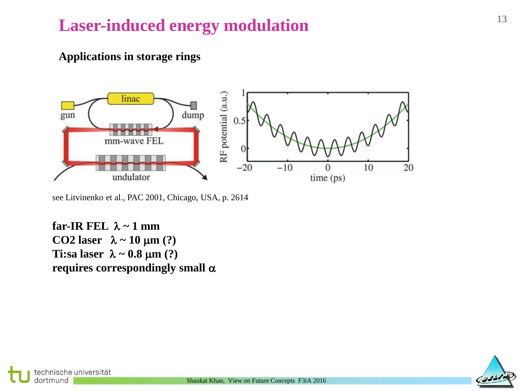#### **Applications in storage rings**



see Litvinenko et al., PAC 2001, Chicago, USA, p. 2614

**far-IR FEL**  $\lambda \sim 1$  mm **CO2 laser**  $\lambda \sim 10 \mu m$  (?) Ti:sa laser  $\lambda \sim 0.8 \mu m$  (?) requires correspondingly small  $\alpha$ 



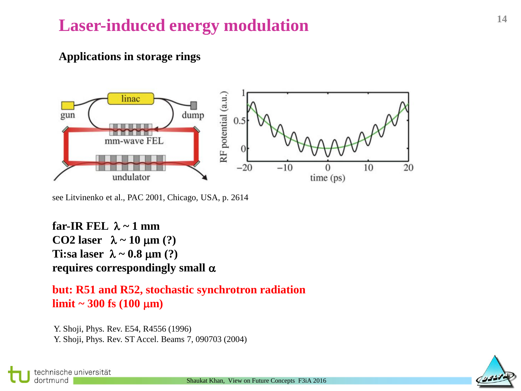#### **Applications in storage rings**



see Litvinenko et al., PAC 2001, Chicago, USA, p. 2614

**far-IR FEL**  $\lambda \sim 1$  mm **CO2 laser**  $\lambda \sim 10 \mu m$  (?) **Ti:sa laser**  $\lambda \sim 0.8 \mu m$  (?) **requires correspondingly small** a

**but: R51 and R52, stochastic synchrotron radiation**  $\lim_{x \to 300} f_s (100 \mu m)$ 

Y. Shoji, Phys. Rev. E54, R4556 (1996) Y. Shoji, Phys. Rev. ST Accel. Beams 7, 090703 (2004)



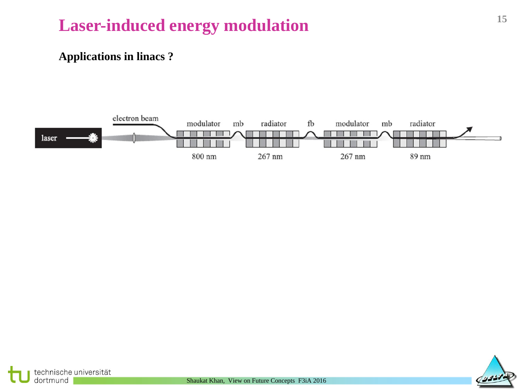#### **Applications in linacs ?**